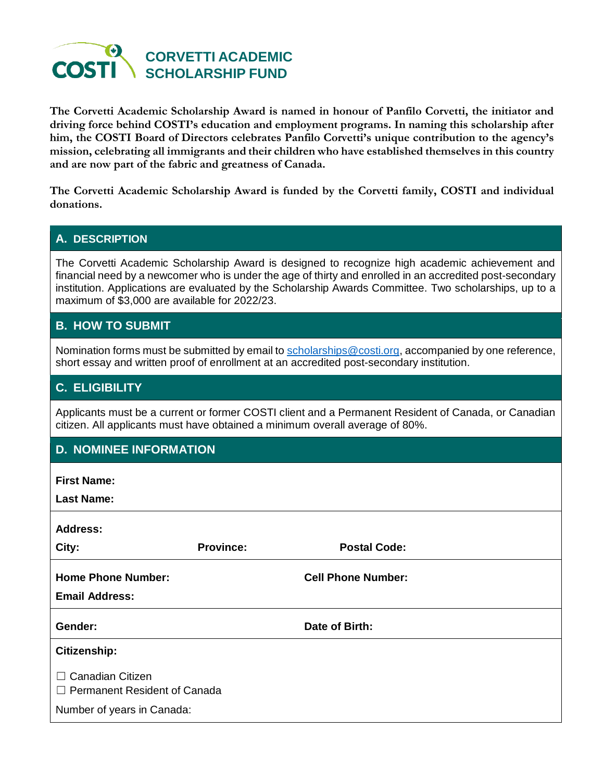

**The Corvetti Academic Scholarship Award is named in honour of Panfilo Corvetti, the initiator and driving force behind COSTI's education and employment programs. In naming this scholarship after him, the COSTI Board of Directors celebrates Panfilo Corvetti's unique contribution to the agency's mission, celebrating all immigrants and their children who have established themselves in this country and are now part of the fabric and greatness of Canada.**

**The Corvetti Academic Scholarship Award is funded by the Corvetti family, COSTI and individual donations.**

### **A. DESCRIPTION**

The Corvetti Academic Scholarship Award is designed to recognize high academic achievement and financial need by a newcomer who is under the age of thirty and enrolled in an accredited post-secondary institution. Applications are evaluated by the Scholarship Awards Committee. Two scholarships, up to a maximum of \$3,000 are available for 2022/23.

### **B. HOW TO SUBMIT**

Nomination forms must be submitted by email to [scholarships@costi.org,](mailto:scholarships@costi.org) accompanied by one reference, short essay and written proof of enrollment at an accredited post-secondary institution.

### **C. ELIGIBILITY**

Applicants must be a current or former COSTI client and a Permanent Resident of Canada, or Canadian citizen. All applicants must have obtained a minimum overall average of 80%.

## **D. NOMINEE INFORMATION**

**First Name:**

**Last Name:**

| <b>Address:</b>                                                |                  |                           |  |
|----------------------------------------------------------------|------------------|---------------------------|--|
| City:                                                          | <b>Province:</b> | <b>Postal Code:</b>       |  |
| <b>Home Phone Number:</b><br><b>Email Address:</b>             |                  | <b>Cell Phone Number:</b> |  |
| Gender:                                                        |                  | Date of Birth:            |  |
| Citizenship:                                                   |                  |                           |  |
| $\Box$ Canadian Citizen<br>$\Box$ Permanent Resident of Canada |                  |                           |  |
| Number of years in Canada:                                     |                  |                           |  |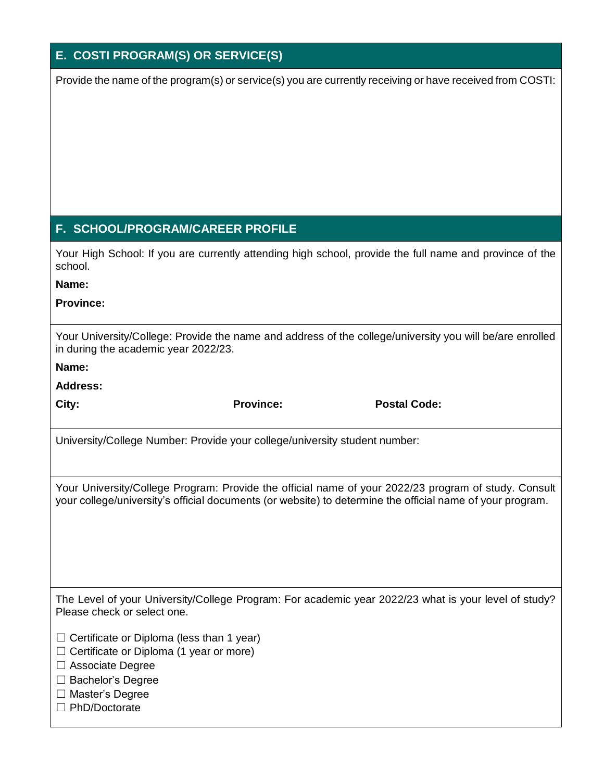### **E. COSTI PROGRAM(S) OR SERVICE(S)**

Provide the name of the program(s) or service(s) you are currently receiving or have received from COSTI:

## **F. SCHOOL/PROGRAM/CAREER PROFILE**

Your High School: If you are currently attending high school, provide the full name and province of the school.

**Name:**

**Province:**

Your University/College: Provide the name and address of the college/university you will be/are enrolled in during the academic year 2022/23.

**Name:**

**Address:**

**City: Province: Postal Code:**

University/College Number: Provide your college/university student number:

Your University/College Program: Provide the official name of your 2022/23 program of study. Consult your college/university's official documents (or website) to determine the official name of your program.

The Level of your University/College Program: For academic year 2022/23 what is your level of study? Please check or select one.

- $\Box$  Certificate or Diploma (less than 1 year)
- $\Box$  Certificate or Diploma (1 year or more)
- ☐ Associate Degree
- ☐ Bachelor's Degree
- ☐ Master's Degree
- ☐ PhD/Doctorate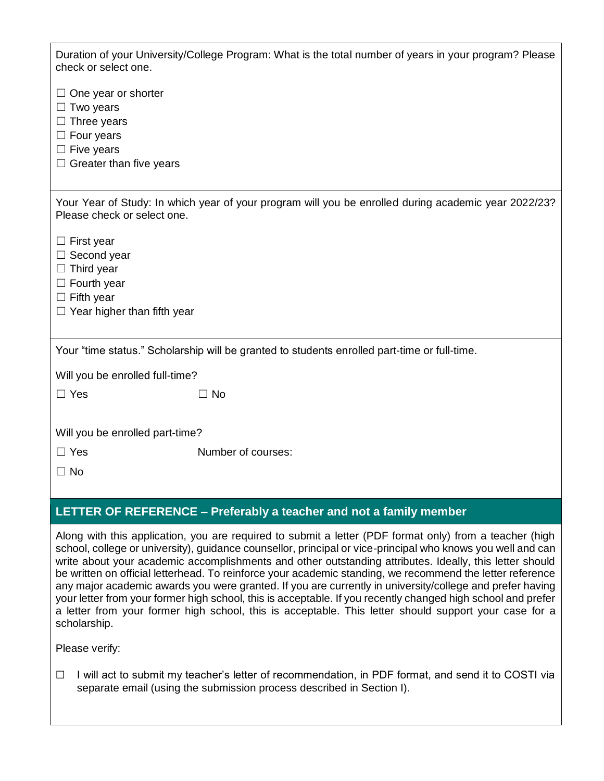| Duration of your University/College Program: What is the total number of years in your program? Please                              |                    |  |  |
|-------------------------------------------------------------------------------------------------------------------------------------|--------------------|--|--|
| check or select one.                                                                                                                |                    |  |  |
| $\Box$ One year or shorter<br>$\Box$ Two years                                                                                      |                    |  |  |
| $\Box$ Three years                                                                                                                  |                    |  |  |
| $\Box$ Four years                                                                                                                   |                    |  |  |
| $\Box$ Five years                                                                                                                   |                    |  |  |
| $\Box$ Greater than five years                                                                                                      |                    |  |  |
|                                                                                                                                     |                    |  |  |
| Your Year of Study: In which year of your program will you be enrolled during academic year 2022/23?<br>Please check or select one. |                    |  |  |
| $\Box$ First year                                                                                                                   |                    |  |  |
| $\Box$ Second year                                                                                                                  |                    |  |  |
| $\Box$ Third year                                                                                                                   |                    |  |  |
| $\Box$ Fourth year                                                                                                                  |                    |  |  |
| $\Box$ Fifth year                                                                                                                   |                    |  |  |
| $\Box$ Year higher than fifth year                                                                                                  |                    |  |  |
|                                                                                                                                     |                    |  |  |
| Your "time status." Scholarship will be granted to students enrolled part-time or full-time.                                        |                    |  |  |
| Will you be enrolled full-time?                                                                                                     |                    |  |  |
| $\Box$ Yes                                                                                                                          | $\Box$ No          |  |  |
|                                                                                                                                     |                    |  |  |
| Will you be enrolled part-time?                                                                                                     |                    |  |  |
| $\Box$ Yes                                                                                                                          | Number of courses: |  |  |
| ∩ No                                                                                                                                |                    |  |  |

# **LETTER OF REFERENCE – Preferably a teacher and not a family member**

Along with this application, you are required to submit a letter (PDF format only) from a teacher (high school, college or university), guidance counsellor, principal or vice-principal who knows you well and can write about your academic accomplishments and other outstanding attributes. Ideally, this letter should be written on official letterhead. To reinforce your academic standing, we recommend the letter reference any major academic awards you were granted. If you are currently in university/college and prefer having your letter from your former high school, this is acceptable. If you recently changed high school and prefer a letter from your former high school, this is acceptable. This letter should support your case for a scholarship.

Please verify:

☐ I will act to submit my teacher's letter of recommendation, in PDF format, and send it to COSTI via separate email (using the submission process described in Section I).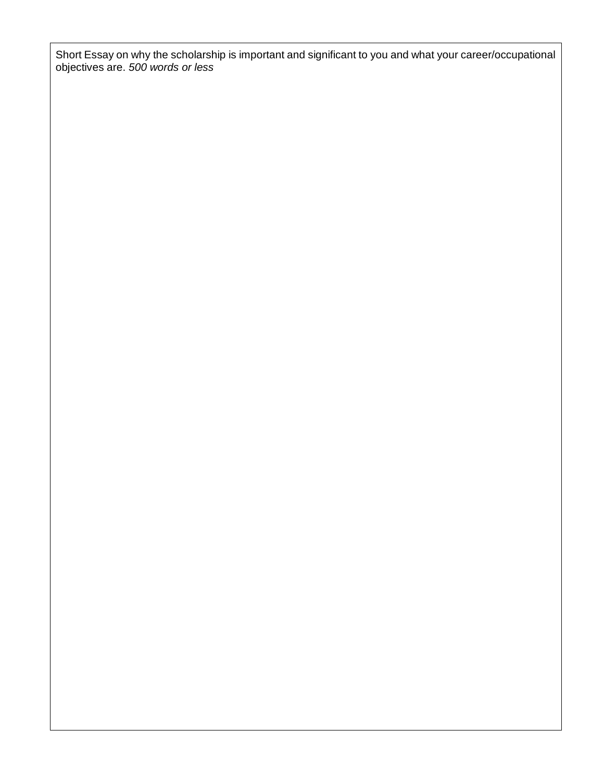Short Essay on why the scholarship is important and significant to you and what your career/occupational objectives are. *500 words or less*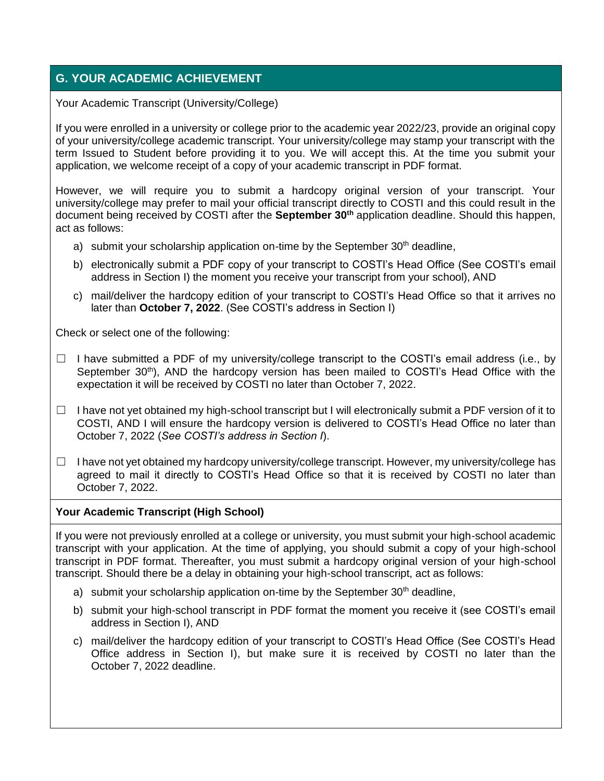## **G. YOUR ACADEMIC ACHIEVEMENT**

Your Academic Transcript (University/College)

If you were enrolled in a university or college prior to the academic year 2022/23, provide an original copy of your university/college academic transcript. Your university/college may stamp your transcript with the term Issued to Student before providing it to you. We will accept this. At the time you submit your application, we welcome receipt of a copy of your academic transcript in PDF format.

However, we will require you to submit a hardcopy original version of your transcript. Your university/college may prefer to mail your official transcript directly to COSTI and this could result in the document being received by COSTI after the **September 30th** application deadline. Should this happen, act as follows:

- a) submit your scholarship application on-time by the September  $30<sup>th</sup>$  deadline,
- b) electronically submit a PDF copy of your transcript to COSTI's Head Office (See COSTI's email address in Section I) the moment you receive your transcript from your school), AND
- c) mail/deliver the hardcopy edition of your transcript to COSTI's Head Office so that it arrives no later than **October 7, 2022**. (See COSTI's address in Section I)

Check or select one of the following:

- $\Box$  I have submitted a PDF of my university/college transcript to the COSTI's email address (i.e., by September 30<sup>th</sup>), AND the hardcopy version has been mailed to COSTI's Head Office with the expectation it will be received by COSTI no later than October 7, 2022.
- $\Box$  I have not yet obtained my high-school transcript but I will electronically submit a PDF version of it to COSTI, AND I will ensure the hardcopy version is delivered to COSTI's Head Office no later than October 7, 2022 (*See COSTI's address in Section I*).
- $\Box$  I have not yet obtained my hardcopy university/college transcript. However, my university/college has agreed to mail it directly to COSTI's Head Office so that it is received by COSTI no later than October 7, 2022.

#### **Your Academic Transcript (High School)**

If you were not previously enrolled at a college or university, you must submit your high-school academic transcript with your application. At the time of applying, you should submit a copy of your high-school transcript in PDF format. Thereafter, you must submit a hardcopy original version of your high-school transcript. Should there be a delay in obtaining your high-school transcript, act as follows:

- a) submit your scholarship application on-time by the September  $30<sup>th</sup>$  deadline,
- b) submit your high-school transcript in PDF format the moment you receive it (see COSTI's email address in Section I), AND
- c) mail/deliver the hardcopy edition of your transcript to COSTI's Head Office (See COSTI's Head Office address in Section I), but make sure it is received by COSTI no later than the October 7, 2022 deadline.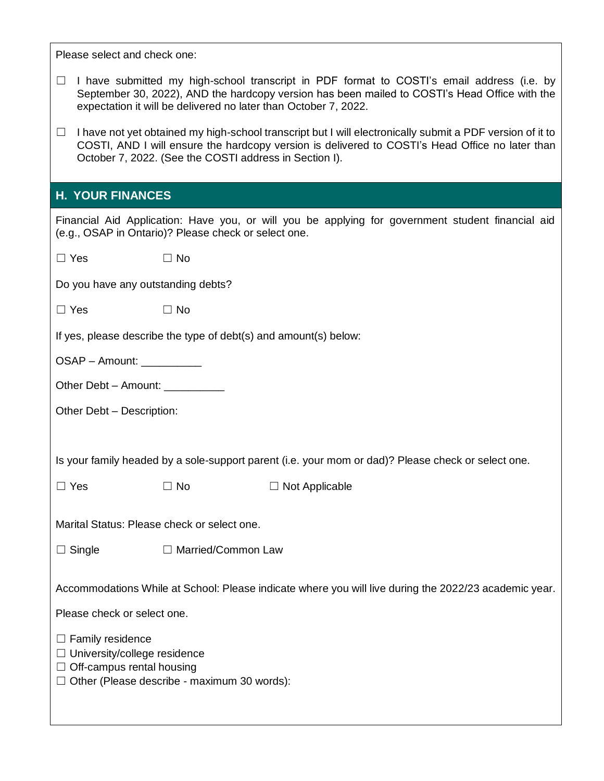Please select and check one:

- $\Box$  I have submitted my high-school transcript in PDF format to COSTI's email address (i.e. by September 30, 2022), AND the hardcopy version has been mailed to COSTI's Head Office with the expectation it will be delivered no later than October 7, 2022.
- ☐ I have not yet obtained my high-school transcript but I will electronically submit a PDF version of it to COSTI, AND I will ensure the hardcopy version is delivered to COSTI's Head Office no later than October 7, 2022. (See the COSTI address in Section I).

### **H. YOUR FINANCES**

Financial Aid Application: Have you, or will you be applying for government student financial aid (e.g., OSAP in Ontario)? Please check or select one.

| $\Box$ Yes                                                                                                                                                                                                                                                                                       | $\Box$ No                                                        |                       |  |  |  |
|--------------------------------------------------------------------------------------------------------------------------------------------------------------------------------------------------------------------------------------------------------------------------------------------------|------------------------------------------------------------------|-----------------------|--|--|--|
| Do you have any outstanding debts?                                                                                                                                                                                                                                                               |                                                                  |                       |  |  |  |
| $\Box$ Yes                                                                                                                                                                                                                                                                                       | $\Box$ No                                                        |                       |  |  |  |
|                                                                                                                                                                                                                                                                                                  | If yes, please describe the type of debt(s) and amount(s) below: |                       |  |  |  |
| $OSAP - Amount:$                                                                                                                                                                                                                                                                                 |                                                                  |                       |  |  |  |
| Other Debt - Amount: __________                                                                                                                                                                                                                                                                  |                                                                  |                       |  |  |  |
| Other Debt - Description:                                                                                                                                                                                                                                                                        |                                                                  |                       |  |  |  |
|                                                                                                                                                                                                                                                                                                  |                                                                  |                       |  |  |  |
| Is your family headed by a sole-support parent (i.e. your mom or dad)? Please check or select one.                                                                                                                                                                                               |                                                                  |                       |  |  |  |
| $\Box$ Yes                                                                                                                                                                                                                                                                                       | $\Box$ No                                                        | $\Box$ Not Applicable |  |  |  |
| Marital Status: Please check or select one.                                                                                                                                                                                                                                                      |                                                                  |                       |  |  |  |
| $\Box$ Single                                                                                                                                                                                                                                                                                    | □ Married/Common Law                                             |                       |  |  |  |
| Accommodations While at School: Please indicate where you will live during the 2022/23 academic year.<br>Please check or select one.<br>$\Box$ Family residence<br>$\Box$ University/college residence<br>$\Box$ Off-campus rental housing<br>$\Box$ Other (Please describe - maximum 30 words): |                                                                  |                       |  |  |  |
|                                                                                                                                                                                                                                                                                                  |                                                                  |                       |  |  |  |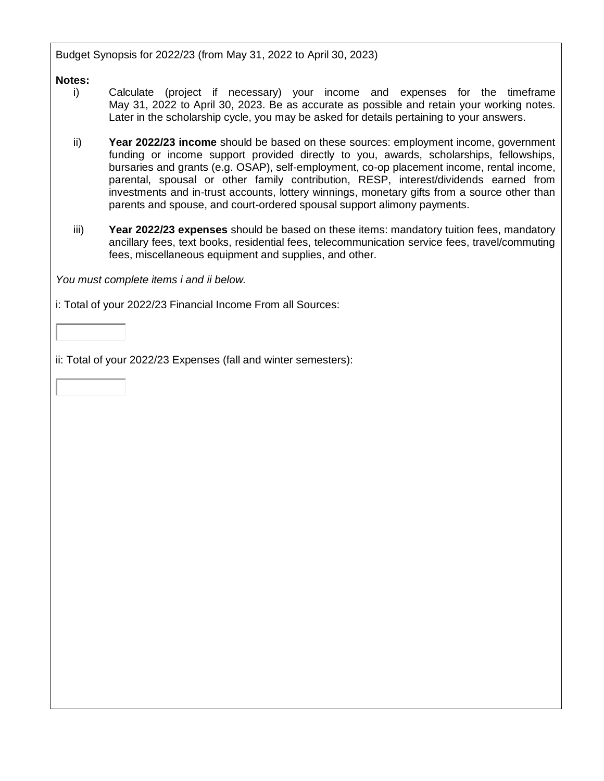Budget Synopsis for 2022/23 (from May 31, 2022 to April 30, 2023)

#### **Notes:**

- i) Calculate (project if necessary) your income and expenses for the timeframe May 31, 2022 to April 30, 2023. Be as accurate as possible and retain your working notes. Later in the scholarship cycle, you may be asked for details pertaining to your answers.
- ii) **Year 2022/23 income** should be based on these sources: employment income, government funding or income support provided directly to you, awards, scholarships, fellowships, bursaries and grants (e.g. OSAP), self-employment, co-op placement income, rental income, parental, spousal or other family contribution, RESP, interest/dividends earned from investments and in-trust accounts, lottery winnings, monetary gifts from a source other than parents and spouse, and court-ordered spousal support alimony payments.
- iii) **Year 2022/23 expenses** should be based on these items: mandatory tuition fees, mandatory ancillary fees, text books, residential fees, telecommunication service fees, travel/commuting fees, miscellaneous equipment and supplies, and other.

*You must complete items i and ii below.*

i: Total of your 2022/23 Financial Income From all Sources:

ii: Total of your 2022/23 Expenses (fall and winter semesters):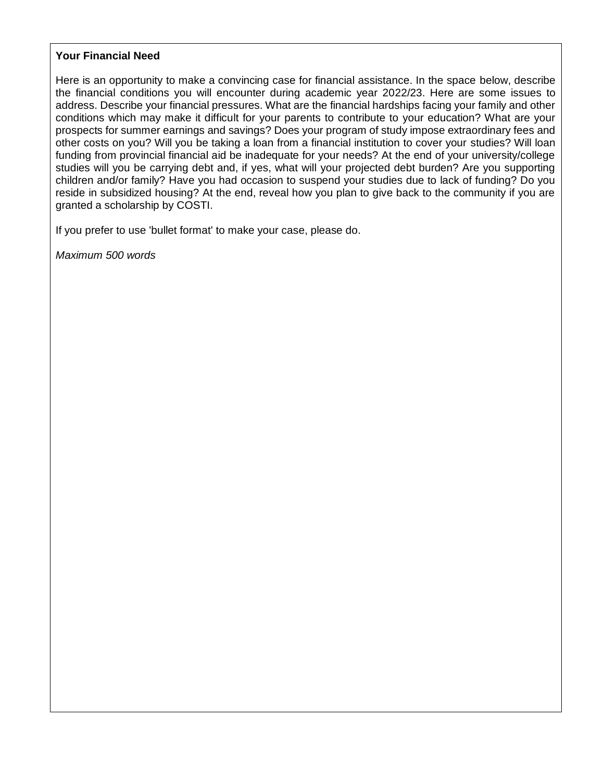#### **Your Financial Need**

Here is an opportunity to make a convincing case for financial assistance. In the space below, describe the financial conditions you will encounter during academic year 2022/23. Here are some issues to address. Describe your financial pressures. What are the financial hardships facing your family and other conditions which may make it difficult for your parents to contribute to your education? What are your prospects for summer earnings and savings? Does your program of study impose extraordinary fees and other costs on you? Will you be taking a loan from a financial institution to cover your studies? Will loan funding from provincial financial aid be inadequate for your needs? At the end of your university/college studies will you be carrying debt and, if yes, what will your projected debt burden? Are you supporting children and/or family? Have you had occasion to suspend your studies due to lack of funding? Do you reside in subsidized housing? At the end, reveal how you plan to give back to the community if you are granted a scholarship by COSTI.

If you prefer to use 'bullet format' to make your case, please do.

*Maximum 500 words*